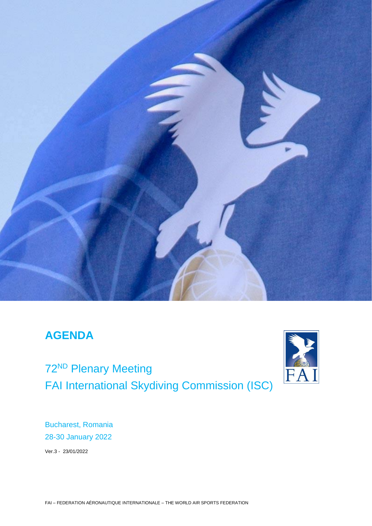

# **AGENDA**

72<sup>ND</sup> Plenary Meeting FAI International Skydiving Commission (ISC)



Bucharest, Romania 28-30 January 2022

Ver.3 - 23/01/2022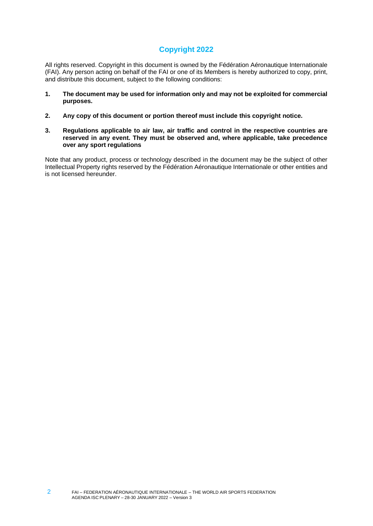### **Copyright 2022**

All rights reserved. Copyright in this document is owned by the Fédération Aéronautique Internationale (FAI). Any person acting on behalf of the FAI or one of its Members is hereby authorized to copy, print, and distribute this document, subject to the following conditions:

- **1. The document may be used for information only and may not be exploited for commercial purposes.**
- **2. Any copy of this document or portion thereof must include this copyright notice.**
- **3. Regulations applicable to air law, air traffic and control in the respective countries are reserved in any event. They must be observed and, where applicable, take precedence over any sport regulations**

Note that any product, process or technology described in the document may be the subject of other Intellectual Property rights reserved by the Fédération Aéronautique Internationale or other entities and is not licensed hereunder.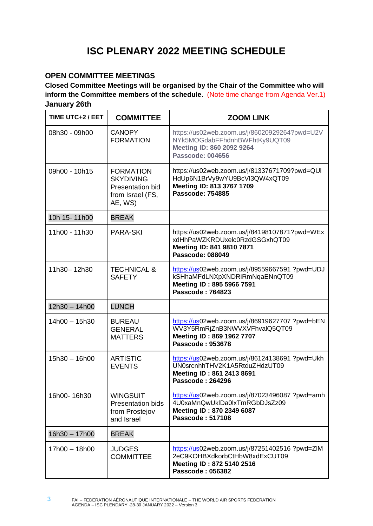# **ISC PLENARY 2022 MEETING SCHEDULE**

### **OPEN COMMITTEE MEETINGS**

**Closed Committee Meetings will be organised by the Chair of the Committee who will inform the Committee members of the schedule**. (Note time change from Agenda Ver.1) **January 26th** 

| TIME UTC+2 / EET | <b>COMMITTEE</b>                                                                               | <b>ZOOM LINK</b>                                                                                                                        |
|------------------|------------------------------------------------------------------------------------------------|-----------------------------------------------------------------------------------------------------------------------------------------|
| 08h30 - 09h00    | <b>CANOPY</b><br><b>FORMATION</b>                                                              | https://us02web.zoom.us/j/86020929264?pwd=U2V<br>NYk5MOGdabFFhdnhBWFhtKy9UQT09<br>Meeting ID: 860 2092 9264<br><b>Passcode: 004656</b>  |
| 09h00 - 10h15    | <b>FORMATION</b><br><b>SKYDIVING</b><br><b>Presentation bid</b><br>from Israel (FS,<br>AE, WS) | https://us02web.zoom.us/j/81337671709?pwd=QUI<br>HdUp6N1BrVy9wYU9BcVI3QW4xQT09<br>Meeting ID: 813 3767 1709<br><b>Passcode: 754885</b>  |
| 10h 15-11h00     | <b>BREAK</b>                                                                                   |                                                                                                                                         |
| 11h00 - 11h30    | <b>PARA-SKI</b>                                                                                | https://us02web.zoom.us/j/84198107871?pwd=WEx<br>xdHhPaWZKRDUxelc0RzdGSGxhQT09<br>Meeting ID: 841 9810 7871<br><b>Passcode: 088049</b>  |
| 11h30-12h30      | <b>TECHNICAL &amp;</b><br><b>SAFETY</b>                                                        | https://us02web.zoom.us/j/89559667591 ?pwd=UDJ<br>kSHhaMFdLNXpXNDRiRmNqaENnQT09<br>Meeting ID: 895 5966 7591<br><b>Passcode: 764823</b> |
| 12h30 - 14h00    | <b>LUNCH</b>                                                                                   |                                                                                                                                         |
| 14h00 - 15h30    | <b>BUREAU</b><br><b>GENERAL</b><br><b>MATTERS</b>                                              | https://us02web.zoom.us/j/86919627707 ?pwd=bEN<br>WV3Y5RmRjZnB3NWVXVFhvalQ5QT09<br>Meeting ID: 869 1962 7707<br><b>Passcode: 953678</b> |
| 15h30 - 16h00    | <b>ARTISTIC</b><br><b>EVENTS</b>                                                               | https://us02web.zoom.us/j/86124138691 ?pwd=Ukh<br>UN0srcnhhTHV2K1A5RtduZHdzUT09<br>Meeting ID: 861 2413 8691<br><b>Passcode: 264296</b> |
| 16h00-16h30      | <b>WINGSUIT</b><br><b>Presentation bids</b><br>from Prostejov<br>and Israel                    | https://us02web.zoom.us/j/87023496087 ?pwd=amh<br>4U0xaMnQwUklDa0lxTmRGbDJsZz09<br>Meeting ID: 870 2349 6087<br>Passcode: 517108        |
| 16h30 - 17h00    | <b>BREAK</b>                                                                                   |                                                                                                                                         |
| 17h00 - 18h00    | <b>JUDGES</b><br><b>COMMITTEE</b>                                                              | https://us02web.zoom.us/j/87251402516 ?pwd=ZIM<br>2eC9KOHBXdkorbCtHbW8xdExCUT09<br>Meeting ID: 872 5140 2516<br><b>Passcode: 056382</b> |

3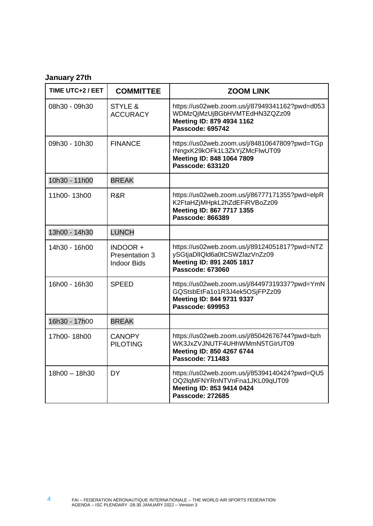## **January 27th**

| TIME UTC+2 / EET | <b>COMMITTEE</b>                                | <b>ZOOM LINK</b>                                                                                                                       |
|------------------|-------------------------------------------------|----------------------------------------------------------------------------------------------------------------------------------------|
| 08h30 - 09h30    | STYLE &<br><b>ACCURACY</b>                      | https://us02web.zoom.us/j/87949341162?pwd=d053<br>WDMzQjMzUjBGbHVMTEdHN3ZQZz09<br>Meeting ID: 879 4934 1162<br><b>Passcode: 695742</b> |
| 09h30 - 10h30    | <b>FINANCE</b>                                  | https://us02web.zoom.us/j/84810647809?pwd=TGp<br>rNngxK29kOFk1L3ZkYjZMcFlwUT09<br>Meeting ID: 848 1064 7809<br><b>Passcode: 633120</b> |
| 10h30 - 11h00    | <b>BREAK</b>                                    |                                                                                                                                        |
| 11h00-13h00      | R&R                                             | https://us02web.zoom.us/j/86777171355?pwd=elpR<br>K2FtaHZjMHpkL2hZdEFiRVBoZz09<br>Meeting ID: 867 7717 1355<br><b>Passcode: 866389</b> |
| 13h00 - 14h30    | <b>LUNCH</b>                                    |                                                                                                                                        |
| 14h30 - 16h00    | INDOOR+<br>Presentation 3<br><b>Indoor Bids</b> | https://us02web.zoom.us/j/89124051817?pwd=NTZ<br>ySGtjaDllQld6a0tCSWZlazVnZz09<br>Meeting ID: 891 2405 1817<br>Passcode: 673060        |
| 16h00 - 16h30    | <b>SPEED</b>                                    | https://us02web.zoom.us/j/84497319337?pwd=YmN<br>GQStsbEtFa1o1R3J4ek5OSjFPZz09<br>Meeting ID: 844 9731 9337<br><b>Passcode: 699953</b> |
| 16h30 - 17h00    | <b>BREAK</b>                                    |                                                                                                                                        |
| 17h00-18h00      | <b>CANOPY</b><br><b>PILOTING</b>                | https://us02web.zoom.us/j/85042676744?pwd=bzh<br>WK3JxZVJNUTF4UHhWMmN5TGIrUT09<br>Meeting ID: 850 4267 6744<br>Passcode: 711483        |
| 18h00 - 18h30    | <b>DY</b>                                       | https://us02web.zoom.us/j/85394140424?pwd=QU5<br>OQ2lqMFNYRnNTVnFna1JKL09qUT09<br>Meeting ID: 853 9414 0424<br><b>Passcode: 272685</b> |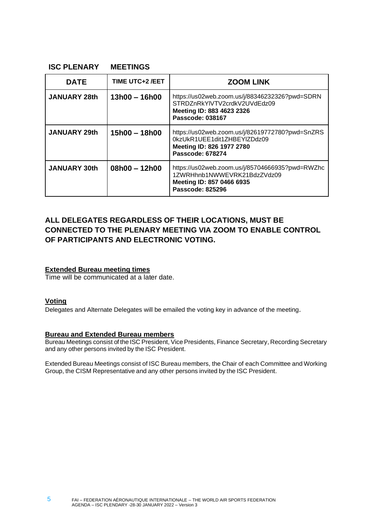#### **ISC PLENARY MEETINGS**

| <b>DATE</b>         | <b>TIME UTC+2/EET</b> | <b>ZOOM LINK</b>                                                                                                                       |
|---------------------|-----------------------|----------------------------------------------------------------------------------------------------------------------------------------|
| <b>JANUARY 28th</b> | $13h00 - 16h00$       | https://us02web.zoom.us/j/88346232326?pwd=SDRN<br>STRDZnRkYlVTV2crdkV2UVdEdz09<br>Meeting ID: 883 4623 2326<br><b>Passcode: 038167</b> |
| <b>JANUARY 29th</b> | 15h00 - 18h00         | https://us02web.zoom.us/j/82619772780?pwd=SnZRS<br>0kzUkR1UEE1dit1ZHBEYIZDdz09<br>Meeting ID: 826 1977 2780<br><b>Passcode: 678274</b> |
| <b>JANUARY 30th</b> | $08h00 - 12h00$       | https://us02web.zoom.us/j/85704666935?pwd=RWZhc<br>1ZWRHhnb1NWWEVRK21BdzZVdz09<br>Meeting ID: 857 0466 6935<br><b>Passcode: 825296</b> |

### **ALL DELEGATES REGARDLESS OF THEIR LOCATIONS, MUST BE CONNECTED TO THE PLENARY MEETING VIA ZOOM TO ENABLE CONTROL OF PARTICIPANTS AND ELECTRONIC VOTING.**

#### **Extended Bureau meeting times**

Time will be communicated at a later date.

#### **Voting**

Delegates and Alternate Delegates will be emailed the voting key in advance of the meeting.

#### **Bureau and Extended Bureau members**

Bureau Meetings consist of the ISC President, Vice Presidents, Finance Secretary, Recording Secretary and any other persons invited by the ISC President.

Extended Bureau Meetings consist of ISC Bureau members, the Chair of each Committee and Working Group, the CISM Representative and any other persons invited by the ISC President.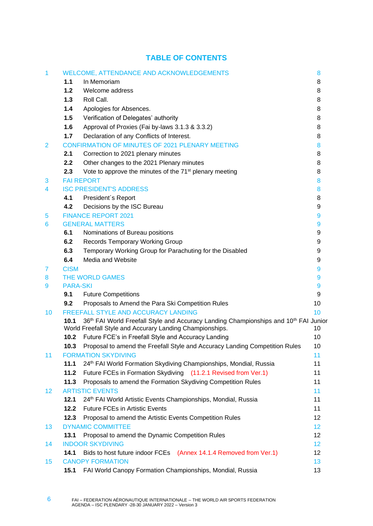### **TABLE OF CONTENTS**

| 1  |                 | WELCOME, ATTENDANCE AND ACKNOWLEDGEMENTS                                                                                                                                       | 8      |  |
|----|-----------------|--------------------------------------------------------------------------------------------------------------------------------------------------------------------------------|--------|--|
|    | 1.1             | In Memoriam                                                                                                                                                                    | 8      |  |
|    | 1.2             | Welcome address                                                                                                                                                                | 8      |  |
|    | 1.3             | Roll Call.                                                                                                                                                                     | 8      |  |
|    | 1.4             | Apologies for Absences.                                                                                                                                                        | 8      |  |
|    | 1.5             | Verification of Delegates' authority                                                                                                                                           | 8      |  |
|    | 1.6             | Approval of Proxies (Fai by-laws 3.1.3 & 3.3.2)                                                                                                                                | 8      |  |
|    | 1.7             | Declaration of any Conflicts of Interest.                                                                                                                                      | 8      |  |
| 2  |                 | <b>CONFIRMATION OF MINUTES OF 2021 PLENARY MEETING</b>                                                                                                                         | 8      |  |
|    | 2.1             | Correction to 2021 plenary minutes                                                                                                                                             | 8      |  |
|    | 2.2             | Other changes to the 2021 Plenary minutes                                                                                                                                      | 8      |  |
|    | 2.3             | Vote to approve the minutes of the 71 <sup>st</sup> plenary meeting                                                                                                            | 8      |  |
| 3  |                 | <b>FAI REPORT</b>                                                                                                                                                              | 8<br>8 |  |
| 4  |                 | <b>ISC PRESIDENT'S ADDRESS</b>                                                                                                                                                 |        |  |
|    | 4.1             | President's Report                                                                                                                                                             | 8      |  |
|    | 4.2             | Decisions by the ISC Bureau                                                                                                                                                    | 9      |  |
| 5  |                 | <b>FINANCE REPORT 2021</b>                                                                                                                                                     | 9      |  |
| 6  |                 | <b>GENERAL MATTERS</b>                                                                                                                                                         | 9      |  |
|    | 6.1             | Nominations of Bureau positions                                                                                                                                                | 9      |  |
|    | 6.2             | <b>Records Temporary Working Group</b>                                                                                                                                         | 9      |  |
|    | 6.3             | Temporary Working Group for Parachuting for the Disabled                                                                                                                       | 9      |  |
|    | 6.4             | Media and Website                                                                                                                                                              | 9      |  |
| 7  | <b>CISM</b>     |                                                                                                                                                                                | 9      |  |
| 8  |                 | <b>THE WORLD GAMES</b>                                                                                                                                                         | 9      |  |
| 9  | <b>PARA-SKI</b> |                                                                                                                                                                                | 9      |  |
|    | 9.1             | <b>Future Competitions</b>                                                                                                                                                     | 9      |  |
|    | 9.2             | Proposals to Amend the Para Ski Competition Rules                                                                                                                              | 10     |  |
| 10 |                 | <b>FREEFALL STYLE AND ACCURACY LANDING</b>                                                                                                                                     | 10     |  |
|    | 10.1            | 36 <sup>th</sup> FAI World Freefall Style and Accuracy Landing Championships and 10 <sup>th</sup> FAI Junior<br>World Freefall Style and Accurary Landing Championships.<br>10 |        |  |
|    | 10.2            | Future FCE's in Freefall Style and Accuracy Landing                                                                                                                            | 10     |  |
|    |                 | 10.3 Proposal to amend the Freefall Style and Accuracy Landing Competition Rules                                                                                               | 10     |  |
| 11 |                 | <b>FORMATION SKYDIVING</b>                                                                                                                                                     | 11     |  |
|    | 11.1            | 24th FAI World Formation Skydiving Championships, Mondial, Russia                                                                                                              | 11     |  |
|    | 11.2            | Future FCEs in Formation Skydiving (11.2.1 Revised from Ver.1)                                                                                                                 | 11     |  |
|    | 11.3            | Proposals to amend the Formation Skydiving Competition Rules                                                                                                                   | 11     |  |
| 12 |                 | <b>ARTISTIC EVENTS</b>                                                                                                                                                         | 11     |  |
|    | 12.1            | 24 <sup>th</sup> FAI World Artistic Events Championships, Mondial, Russia                                                                                                      | 11     |  |
|    | 12.2            | <b>Future FCEs in Artistic Events</b>                                                                                                                                          | 11     |  |
|    | 12.3            | Proposal to amend the Artistic Events Competition Rules                                                                                                                        | 12     |  |
| 13 |                 | <b>DYNAMIC COMMITTEE</b>                                                                                                                                                       | 12     |  |
|    | 13.1            | Proposal to amend the Dynamic Competition Rules                                                                                                                                | 12     |  |
| 14 |                 | <b>INDOOR SKYDIVING</b>                                                                                                                                                        | 12     |  |
|    | 14.1            | Bids to host future indoor FCEs (Annex 14.1.4 Removed from Ver.1)                                                                                                              | 12     |  |
| 15 |                 | <b>CANOPY FORMATION</b>                                                                                                                                                        | 13     |  |
|    | 15.1            | FAI World Canopy Formation Championships, Mondial, Russia                                                                                                                      | 13     |  |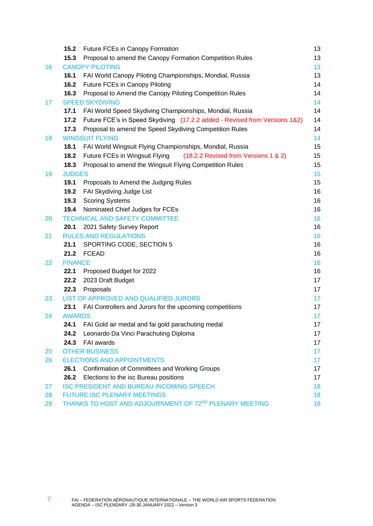|    | 15.2 <sub>1</sub>      | <b>Future FCEs in Canopy Formation</b>                                     | 13       |
|----|------------------------|----------------------------------------------------------------------------|----------|
|    | 15.3                   | Proposal to amend the Canopy Formation Competition Rules                   | 13       |
| 16 |                        | <b>CANOPY PILOTING</b>                                                     | 13       |
|    | 16.1                   | FAI World Canopy Piloting Championships, Mondial, Russia                   | 13       |
|    | 16.2                   | Future FCEs in Canopy Piloting                                             | 14       |
|    | 16.3                   | Proposal to Amend the Canopy Piloting Competition Rules                    | 14       |
| 17 |                        | <b>SPEED SKYDIVING</b>                                                     | 14       |
|    | 17.1                   | FAI World Speed Skydiving Championships, Mondial, Russia                   | 14       |
|    | 17.2                   | Future FCE's in Speed Skydiving (17.2.2 added - Revised from Versions 1&2) | 14       |
|    | 17.3                   | Proposal to amend the Speed Skydiving Competition Rules                    | 14       |
| 18 |                        | <b>WINGSUIT FLYING</b>                                                     | 14       |
|    | 18.1                   | FAI World Wingsuit Flying Championships, Mondial, Russia                   | 15       |
|    | 18.2                   | Future FCEs in Wingsuit Flying<br>(18.2.2 Revised from Versions 1 & 2)     | 15       |
|    | 18.3                   | Proposal to amend the Wingsuit Flying Competition Rules                    | 15       |
| 19 | <b>JUDGES</b>          |                                                                            | 15       |
|    | 19.1                   | Proposals to Amend the Judging Rules                                       | 15       |
|    | 19.2                   | FAI Skydiving Judge List                                                   | 16       |
|    | 19.3                   | <b>Scoring Systems</b>                                                     | 16       |
|    | 19.4                   | Nominated Chief Judges for FCEs                                            | 16       |
| 20 |                        | <b>TECHNICAL AND SAFETY COMMITTEE</b>                                      | 16       |
|    | 20.1                   | 2021 Safety Survey Report                                                  | 16       |
| 21 |                        | <b>RULES AND REGULATIONS</b>                                               | 16       |
|    | 21.1                   | SPORTING CODE, SECTION 5                                                   | 16       |
|    | 21.2                   | <b>FCEAD</b>                                                               | 16       |
| 22 | <b>FINANCE</b><br>22.1 |                                                                            | 16<br>16 |
|    | 22.2                   | Proposed Budget for 2022<br>2023 Draft Budget                              | 17       |
|    | 22.3                   | Proposals                                                                  | 17       |
| 23 |                        | LIST OF APPROVED AND QUALIFIED JURORS                                      | 17       |
|    | 23.1                   | FAI Controllers and Jurors for the upcoming competitions                   | 17       |
| 24 | <b>AWARDS</b>          |                                                                            | 17       |
|    |                        | 24.1 FAI Gold air medal and fai gold parachuting medal                     | 17       |
|    | 24.2                   | Leonardo Da Vinci Parachuting Diploma                                      | 17       |
|    | 24.3                   | FAI awards                                                                 | 17       |
| 25 |                        | <b>OTHER BUSINESS</b>                                                      | 17       |
| 26 |                        | <b>ELECTIONS AND APPOINTMENTS</b>                                          | $17 \,$  |
|    | 26.1                   | <b>Confirmation of Committees and Working Groups</b>                       | 17       |
|    | 26.2                   | Elections to the isc Bureau positions                                      | 17       |
| 27 |                        | <b>ISC PRESIDENT AND BUREAU INCOMING SPEECH</b>                            | 18       |
| 28 |                        | <b>FUTURE ISC PLENARY MEETINGS</b>                                         | 18       |
| 29 |                        | THANKS TO HOST AND ADJOURNMENT OF 72ND PLENARY MEETING                     | 18       |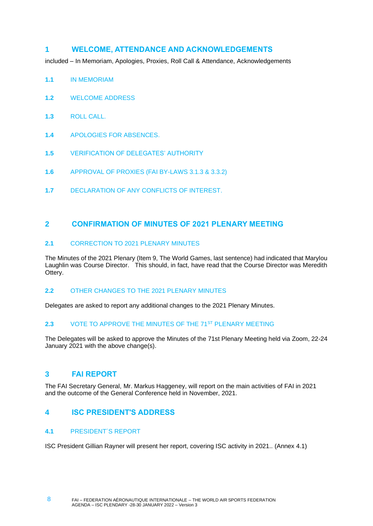#### <span id="page-7-0"></span>**1 WELCOME, ATTENDANCE AND ACKNOWLEDGEMENTS**

<span id="page-7-1"></span>included – In Memoriam, Apologies, Proxies, Roll Call & Attendance, Acknowledgements

- **1.1** IN MEMORIAM
- <span id="page-7-2"></span>**1.2** WELCOME ADDRESS
- <span id="page-7-3"></span>**1.3** ROLL CALL.
- <span id="page-7-4"></span>**1.4** APOLOGIES FOR ABSENCES.
- <span id="page-7-5"></span>**1.5** VERIFICATION OF DELEGATES' AUTHORITY
- <span id="page-7-6"></span>**1.6** APPROVAL OF PROXIES (FAI BY-LAWS 3.1.3 & 3.3.2)
- <span id="page-7-7"></span>**1.7** DECLARATION OF ANY CONFLICTS OF INTEREST.

#### <span id="page-7-8"></span>**2 CONFIRMATION OF MINUTES OF 2021 PLENARY MEETING**

#### <span id="page-7-9"></span>**2.1** CORRECTION TO 2021 PLENARY MINUTES

The Minutes of the 2021 Plenary (Item 9, The World Games, last sentence) had indicated that Marylou Laughlin was Course Director. This should, in fact, have read that the Course Director was Meredith Ottery.

#### <span id="page-7-10"></span>**2.2** OTHER CHANGES TO THE 2021 PLENARY MINUTES

Delegates are asked to report any additional changes to the 2021 Plenary Minutes.

#### <span id="page-7-11"></span>**2.3** VOTE TO APPROVE THE MINUTES OF THE 71ST PLENARY MEETING

The Delegates will be asked to approve the Minutes of the 71st Plenary Meeting held via Zoom, 22-24 January 2021 with the above change(s).

### <span id="page-7-12"></span>**3 FAI REPORT**

The FAI Secretary General, Mr. Markus Haggeney, will report on the main activities of FAI in 2021 and the outcome of the General Conference held in November, 2021.

### <span id="page-7-13"></span>**4 ISC PRESIDENT'S ADDRESS**

#### <span id="page-7-14"></span>**4.1** PRESIDENT´S REPORT

ISC President Gillian Rayner will present her report, covering ISC activity in 2021.. (Annex 4.1)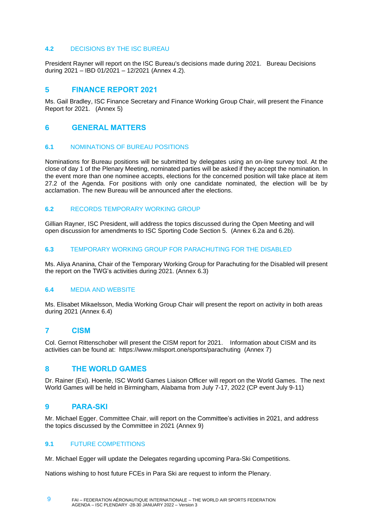#### <span id="page-8-0"></span>**4.2** DECISIONS BY THE ISC BUREAU

President Rayner will report on the ISC Bureau's decisions made during 2021. Bureau Decisions during 2021 – IBD 01/2021 – 12/2021 (Annex 4.2).

#### <span id="page-8-1"></span>**5 FINANCE REPORT 2021**

Ms. Gail Bradley, ISC Finance Secretary and Finance Working Group Chair, will present the Finance Report for 2021. (Annex 5)

#### <span id="page-8-2"></span>**6 GENERAL MATTERS**

#### <span id="page-8-3"></span>**6.1** NOMINATIONS OF BUREAU POSITIONS

Nominations for Bureau positions will be submitted by delegates using an on-line survey tool. At the close of day 1 of the Plenary Meeting, nominated parties will be asked if they accept the nomination. In the event more than one nominee accepts, elections for the concerned position will take place at item 27.2 of the Agenda. For positions with only one candidate nominated, the election will be by acclamation. The new Bureau will be announced after the elections.

#### <span id="page-8-4"></span>**6.2** RECORDS TEMPORARY WORKING GROUP

Gillian Rayner, ISC President, will address the topics discussed during the Open Meeting and will open discussion for amendments to ISC Sporting Code Section 5. (Annex 6.2a and 6.2b).

#### <span id="page-8-5"></span>**6.3** TEMPORARY WORKING GROUP FOR PARACHUTING FOR THE DISABLED

Ms. Aliya Ananina, Chair of the Temporary Working Group for Parachuting for the Disabled will present the report on the TWG's activities during 2021. (Annex 6.3)

#### <span id="page-8-6"></span>**6.4** MEDIA AND WEBSITE

Ms. Elisabet Mikaelsson, Media Working Group Chair will present the report on activity in both areas during 2021 (Annex 6.4)

#### <span id="page-8-7"></span>**7 CISM**

Col. Gernot Rittenschober will present the CISM report for 2021. Information about CISM and its activities can be found at: <https://www.milsport.one/sports/parachuting> (Annex 7)

#### <span id="page-8-8"></span>**8 THE WORLD GAMES**

Dr. Rainer (Exi). Hoenle, ISC World Games Liaison Officer will report on the World Games. The next World Games will be held in Birmingham, Alabama from July 7-17, 2022 (CP event July 9-11)

#### <span id="page-8-9"></span>**9 PARA-SKI**

9

Mr. Michael Egger, Committee Chair, will report on the Committee's activities in 2021, and address the topics discussed by the Committee in 2021 (Annex 9)

#### <span id="page-8-10"></span>**9.1** FUTURE COMPETITIONS

Mr. Michael Egger will update the Delegates regarding upcoming Para-Ski Competitions.

Nations wishing to host future FCEs in Para Ski are request to inform the Plenary.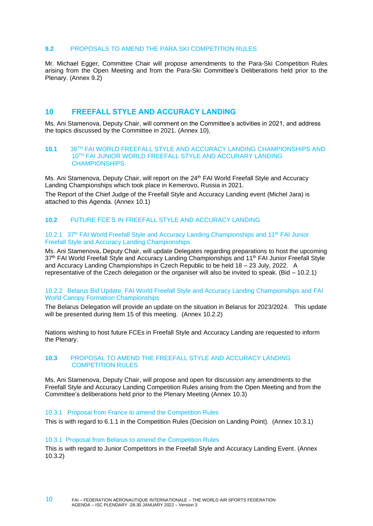#### <span id="page-9-0"></span>**9.2** PROPOSALS TO AMEND THE PARA SKI COMPETITION RULES

Mr. Michael Egger, Committee Chair will propose amendments to the Para-Ski Competition Rules arising from the Open Meeting and from the Para-Ski Committee's Deliberations held prior to the Plenary. (Annex 9.2)

#### <span id="page-9-1"></span>**10 FREEFALL STYLE AND ACCURACY LANDING**

Ms. Ani Stamenova, Deputy Chair, will comment on the Committee's activities in 2021, and address the topics discussed by the Committee in 2021. (Annex 10),

#### <span id="page-9-2"></span>**10.1** 36TH FAI WORLD FREEFALL STYLE AND ACCURACY LANDING CHAMPIONSHIPS AND 10TH FAI JUNIOR WORLD FREEFALL STYLE AND ACCURARY LANDING CHAMPIONSHIPS.

Ms. Ani Stamenova, Deputy Chair, will report on the 24<sup>th</sup> FAI World Freefall Style and Accuracy Landing Championships which took place in Kemerovo, Russia in 2021. The Report of the Chief Judge of the Freefall Style and Accuracy Landing event (Michel Jara) is

<span id="page-9-3"></span>attached to this Agenda. (Annex 10.1)

#### **10.2** FUTURE FCE'S IN FREEFALL STYLE AND ACCURACY LANDING

#### 10.2.1 37th FAI World Freefall Style and Accuracy Landing Championships and 11th FAI Junior Freefall Style and Accuracy Landing Championships

Ms. Ani Stamenova, Deputy Chair, will update Delegates regarding preparations to host the upcoming 37<sup>th</sup> FAI World Freefall Style and Accuracy Landing Championships and 11<sup>th</sup> FAI Junior Freefall Style and Accuracy Landing Championships in Czech Republic to be held 18 – 23 July, 2022. A representative of the Czech delegation or the organiser will also be invited to speak. (Bid – 10.2.1)

#### 10.2.2 Belarus Bid Update, FAI World Freefall Style and Accuracy Landing Championships and FAI World Canopy Formation Championships

The Belarus Delegation will provide an update on the situation in Belarus for 2023/2024. This update will be presented during Item 15 of this meeting. (Annex 10.2.2)

Nations wishing to host future FCEs in Freefall Style and Accuracy Landing are requested to inform the Plenary.

#### <span id="page-9-4"></span>**10.3** PROPOSAL TO AMEND THE FREEFALL STYLE AND ACCURACY LANDING COMPETITION RULES

Ms. Ani Stamenova, Deputy Chair, will propose and open for discussion any amendments to the Freefall Style and Accuracy Landing Competition Rules arising from the Open Meeting and from the Committee's deliberations held prior to the Plenary Meeting (Annex 10.3)

#### 10.3.1 Proposal from France to amend the Competition Rules

This is with regard to 6.1.1 in the Competition Rules (Decision on Landing Point). (Annex 10.3.1)

#### 10.3.1 Proposal from Belarus to amend the Competition Rules

This is with regard to Junior Competitors in the Freefall Style and Accuracy Landing Event. (Annex 10.3.2)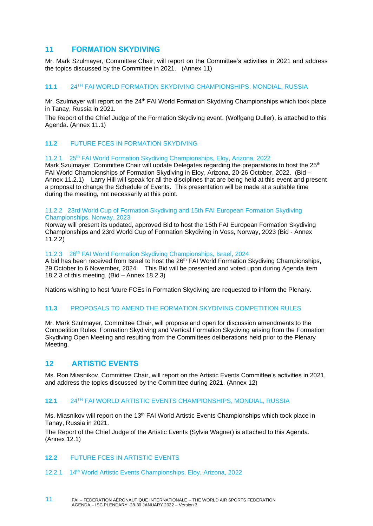#### <span id="page-10-0"></span>**11 FORMATION SKYDIVING**

Mr. Mark Szulmayer, Committee Chair, will report on the Committee's activities in 2021 and address the topics discussed by the Committee in 2021. (Annex 11)

#### <span id="page-10-1"></span>**11.1** 24TH FAI WORLD FORMATION SKYDIVING CHAMPIONSHIPS, MONDIAL, RUSSIA

Mr. Szulmayer will report on the 24<sup>th</sup> FAI World Formation Skydiving Championships which took place in Tanay, Russia in 2021.

The Report of the Chief Judge of the Formation Skydiving event, (Wolfgang Duller), is attached to this Agenda. (Annex 11.1)

#### <span id="page-10-2"></span>**11.2** FUTURE FCES IN FORMATION SKYDIVING

#### 11.2.1 25<sup>th</sup> FAI World Formation Skydiving Championships, Eloy, Arizona, 2022

Mark Szulmayer, Committee Chair will update Delegates regarding the preparations to host the 25<sup>th</sup> FAI World Championships of Formation Skydiving in Eloy, Arizona, 20-26 October, 2022. (Bid – Annex 11.2.1) Larry Hill will speak for all the disciplines that are being held at this event and present a proposal to change the Schedule of Events. This presentation will be made at a suitable time during the meeting, not necessarily at this point.

#### 11.2.2 23rd World Cup of Formation Skydiving and 15th FAI European Formation Skydiving Championships, Norway, 2023

Norway will present its updated, approved Bid to host the 15th FAI European Formation Skydiving Championships and 23rd World Cup of Formation Skydiving in Voss, Norway, 2023 (Bid - Annex 11.2.2)

#### 11.2.3 26<sup>th</sup> FAI World Formation Skydiving Championships, Israel, 2024

A bid has been received from Israel to host the  $26<sup>th</sup>$  FAI World Formation Skydiving Championships, 29 October to 6 November, 2024. This Bid will be presented and voted upon during Agenda item 18.2.3 of this meeting. (Bid – Annex 18.2.3)

Nations wishing to host future FCEs in Formation Skydiving are requested to inform the Plenary.

#### <span id="page-10-3"></span>**11.3** PROPOSALS TO AMEND THE FORMATION SKYDIVING COMPETITION RULES

Mr. Mark Szulmayer, Committee Chair, will propose and open for discussion amendments to the Competition Rules, Formation Skydiving and Vertical Formation Skydiving arising from the Formation Skydiving Open Meeting and resulting from the Committees deliberations held prior to the Plenary Meeting.

#### <span id="page-10-4"></span>**12 ARTISTIC EVENTS**

Ms. Ron Miasnikov, Committee Chair, will report on the Artistic Events Committee's activities in 2021, and address the topics discussed by the Committee during 2021. (Annex 12)

#### <span id="page-10-5"></span>**12.1** 24TH FAI WORLD ARTISTIC EVENTS CHAMPIONSHIPS, MONDIAL, RUSSIA

Ms. Miasnikov will report on the 13<sup>th</sup> FAI World Artistic Events Championships which took place in Tanay, Russia in 2021.

The Report of the Chief Judge of the Artistic Events (Sylvia Wagner) is attached to this Agenda. (Annex 12.1)

#### <span id="page-10-6"></span>**12.2** FUTURE FCES IN ARTISTIC EVENTS

12.2.1 14th World Artistic Events Championships, Eloy, Arizona, 2022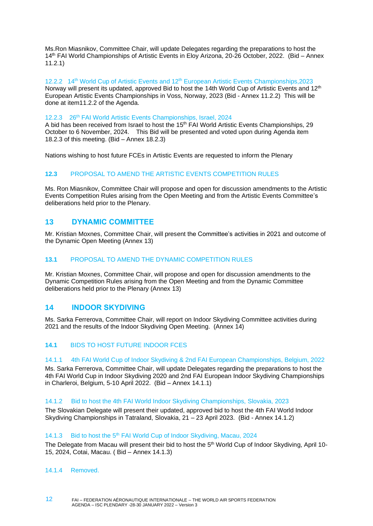Ms.Ron Miasnikov, Committee Chair, will update Delegates regarding the preparations to host the 14th FAI World Championships of Artistic Events in Eloy Arizona, 20-26 October, 2022. (Bid – Annex 11.2.1)

12.2.2 14<sup>th</sup> World Cup of Artistic Events and 12<sup>th</sup> European Artistic Events Championships, 2023 Norway will present its updated, approved Bid to host the 14th World Cup of Artistic Events and 12<sup>th</sup> European Artistic Events Championships in Voss, Norway, 2023 (Bid - Annex 11.2.2) This will be done at item11.2.2 of the Agenda.

#### 12.2.3 26th FAI World Artistic Events Championships, Israel, 2024

A bid has been received from Israel to host the  $15<sup>th</sup>$  FAI World Artistic Events Championships, 29 October to 6 November, 2024. This Bid will be presented and voted upon during Agenda item 18.2.3 of this meeting. (Bid – Annex 18.2.3)

<span id="page-11-0"></span>Nations wishing to host future FCEs in Artistic Events are requested to inform the Plenary

#### **12.3** PROPOSAL TO AMEND THE ARTISTIC EVENTS COMPETITION RULES

Ms. Ron Miasnikov, Committee Chair will propose and open for discussion amendments to the Artistic Events Competition Rules arising from the Open Meeting and from the Artistic Events Committee's deliberations held prior to the Plenary.

#### <span id="page-11-1"></span>**13 DYNAMIC COMMITTEE**

Mr. Kristian Moxnes, Committee Chair, will present the Committee's activities in 2021 and outcome of the Dynamic Open Meeting (Annex 13)

#### <span id="page-11-2"></span>**13.1** PROPOSAL TO AMEND THE DYNAMIC COMPETITION RULES

Mr. Kristian Moxnes, Committee Chair, will propose and open for discussion amendments to the Dynamic Competition Rules arising from the Open Meeting and from the Dynamic Committee deliberations held prior to the Plenary (Annex 13)

#### <span id="page-11-3"></span>**14 INDOOR SKYDIVING**

Ms. Sarka Ferrerova, Committee Chair, will report on Indoor Skydiving Committee activities during 2021 and the results of the Indoor Skydiving Open Meeting. (Annex 14)

#### <span id="page-11-4"></span>**14.1** BIDS TO HOST FUTURE INDOOR FCES

#### 14.1.1 4th FAI World Cup of Indoor Skydiving & 2nd FAI European Championships, Belgium, 2022

Ms. Sarka Ferrerova, Committee Chair, will update Delegates regarding the preparations to host the 4th FAI World Cup in Indoor Skydiving 2020 and 2nd FAI European Indoor Skydiving Championships in Charleroi, Belgium, 5-10 April 2022. (Bid – Annex 14.1.1)

#### 14.1.2 Bid to host the 4th FAI World Indoor Skydiving Championships, Slovakia, 2023

The Slovakian Delegate will present their updated, approved bid to host the 4th FAI World Indoor Skydiving Championships in Tatraland, Slovakia, 21 – 23 April 2023. (Bid - Annex 14.1.2)

#### 14.1.3 Bid to host the 5<sup>th</sup> FAI World Cup of Indoor Skydiving, Macau, 2024

The Delegate from Macau will present their bid to host the 5<sup>th</sup> World Cup of Indoor Skydiving, April 10-15, 2024, Cotai, Macau. ( Bid – Annex 14.1.3)

#### 14.1.4 Removed.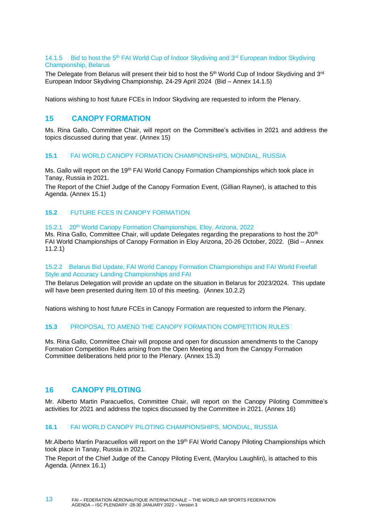#### 14.1.5 Bid to host the 5<sup>th</sup> FAI World Cup of Indoor Skydiving and  $3<sup>rd</sup>$  European Indoor Skydiving Championship, Belarus

The Delegate from Belarus will present their bid to host the  $5<sup>th</sup>$  World Cup of Indoor Skydiving and  $3<sup>rd</sup>$ European Indoor Skydiving Championship, 24-29 April 2024 (Bid – Annex 14.1.5)

<span id="page-12-0"></span>Nations wishing to host future FCEs in Indoor Skydiving are requested to inform the Plenary.

#### **15 CANOPY FORMATION**

Ms. Rina Gallo, Committee Chair, will report on the Committee's activities in 2021 and address the topics discussed during that year. (Annex 15)

#### <span id="page-12-1"></span>**15.1** FAI WORLD CANOPY FORMATION CHAMPIONSHIPS, MONDIAL, RUSSIA

Ms. Gallo will report on the 19<sup>th</sup> FAI World Canopy Formation Championships which took place in Tanay, Russia in 2021.

The Report of the Chief Judge of the Canopy Formation Event, (Gillian Rayner), is attached to this Agenda. (Annex 15.1)

#### <span id="page-12-2"></span>**15.2** FUTURE FCES IN CANOPY FORMATION

#### 15.2.1 20th World Canopy Formation Championships, Eloy, Arizona, 2022

Ms. Rina Gallo, Committee Chair, will update Delegates regarding the preparations to host the 20<sup>th</sup> FAI World Championships of Canopy Formation in Eloy Arizona, 20-26 October, 2022. (Bid – Annex 11.2.1)

#### 15.2.2 Belarus Bid Update, FAI World Canopy Formation Championships and FAI World Freefall Style and Accuracy Landing Championships and FAI

The Belarus Delegation will provide an update on the situation in Belarus for 2023/2024. This update will have been presented during Item 10 of this meeting. (Annex 10.2.2)

<span id="page-12-3"></span>Nations wishing to host future FCEs in Canopy Formation are requested to inform the Plenary.

#### **15.3** PROPOSAL TO AMEND THE CANOPY FORMATION COMPETITION RULES

Ms. Rina Gallo, Committee Chair will propose and open for discussion amendments to the Canopy Formation Competition Rules arising from the Open Meeting and from the Canopy Formation Committee deliberations held prior to the Plenary. (Annex 15.3)

#### <span id="page-12-4"></span>**16 CANOPY PILOTING**

Mr. Alberto Martin Paracuellos, Committee Chair, will report on the Canopy Piloting Committee's activities for 2021 and address the topics discussed by the Committee in 2021. (Annex 16)

#### <span id="page-12-5"></span>**16.1** FAI WORLD CANOPY PILOTING CHAMPIONSHIPS, MONDIAL, RUSSIA

Mr. Alberto Martin Paracuellos will report on the 19<sup>th</sup> FAI World Canopy Piloting Championships which took place in Tanay, Russia in 2021.

The Report of the Chief Judge of the Canopy Piloting Event, (Marylou Laughlin), is attached to this Agenda. (Annex 16.1)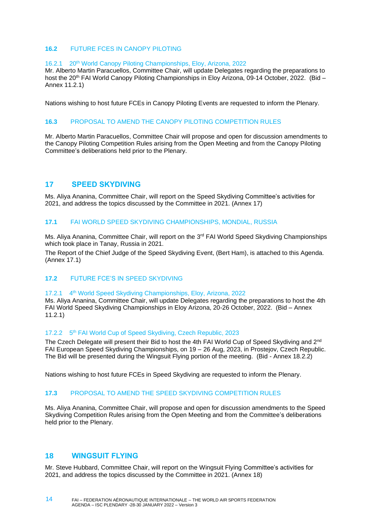#### <span id="page-13-0"></span>**16.2** FUTURE FCES IN CANOPY PILOTING

#### 16.2.1 20th World Canopy Piloting Championships, Eloy, Arizona, 2022

Mr. Alberto Martin Paracuellos, Committee Chair, will update Delegates regarding the preparations to host the 20<sup>th</sup> FAI World Canopy Piloting Championships in Eloy Arizona, 09-14 October, 2022. (Bid – Annex 11.2.1)

<span id="page-13-1"></span>Nations wishing to host future FCEs in Canopy Piloting Events are requested to inform the Plenary.

#### **16.3** PROPOSAL TO AMEND THE CANOPY PILOTING COMPETITION RULES

Mr. Alberto Martin Paracuellos, Committee Chair will propose and open for discussion amendments to the Canopy Piloting Competition Rules arising from the Open Meeting and from the Canopy Piloting Committee's deliberations held prior to the Plenary.

#### <span id="page-13-2"></span>**17 SPEED SKYDIVING**

Ms. Aliya Ananina, Committee Chair, will report on the Speed Skydiving Committee's activities for 2021, and address the topics discussed by the Committee in 2021. (Annex 17)

#### <span id="page-13-3"></span>**17.1** FAI WORLD SPEED SKYDIVING CHAMPIONSHIPS, MONDIAL, RUSSIA

Ms. Aliya Ananina, Committee Chair, will report on the 3<sup>rd</sup> FAI World Speed Skydiving Championships which took place in Tanay, Russia in 2021.

The Report of the Chief Judge of the Speed Skydiving Event, (Bert Ham), is attached to this Agenda. (Annex 17.1)

#### <span id="page-13-4"></span>**17.2** FUTURE FCE'S IN SPEED SKYDIVING

#### $17.2.1$ 4<sup>th</sup> World Speed Skydiving Championships, Eloy, Arizona, 2022

Ms. Aliya Ananina, Committee Chair, will update Delegates regarding the preparations to host the 4th FAI World Speed Skydiving Championships in Eloy Arizona, 20-26 October, 2022. (Bid – Annex 11.2.1)

#### 17.2.2 5<sup>th</sup> FAI World Cup of Speed Skydiving, Czech Republic, 2023

The Czech Delegate will present their Bid to host the 4th FAI World Cup of Speed Skydiving and 2nd FAI European Speed Skydiving Championships, on 19 – 26 Aug, 2023, in Prostejov, Czech Republic. The Bid will be presented during the Wingsuit Flying portion of the meeting. (Bid - Annex 18.2.2)

<span id="page-13-5"></span>Nations wishing to host future FCEs in Speed Skydiving are requested to inform the Plenary.

#### **17.3** PROPOSAL TO AMEND THE SPEED SKYDIVING COMPETITION RULES

Ms. Aliya Ananina, Committee Chair, will propose and open for discussion amendments to the Speed Skydiving Competition Rules arising from the Open Meeting and from the Committee's deliberations held prior to the Plenary.

#### <span id="page-13-6"></span>**18 WINGSUIT FLYING**

Mr. Steve Hubbard, Committee Chair, will report on the Wingsuit Flying Committee's activities for 2021, and address the topics discussed by the Committee in 2021. (Annex 18)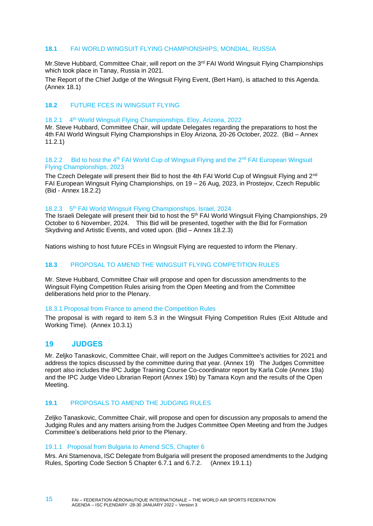#### <span id="page-14-0"></span>**18.1** FAI WORLD WINGSUIT FLYING CHAMPIONSHIPS, MONDIAL, RUSSIA

Mr.Steve Hubbard, Committee Chair, will report on the 3<sup>rd</sup> FAI World Wingsuit Flying Championships which took place in Tanay, Russia in 2021.

The Report of the Chief Judge of the Wingsuit Flying Event, (Bert Ham), is attached to this Agenda. (Annex 18.1)

#### <span id="page-14-1"></span>**18.2** FUTURE FCES IN WINGSUIT FLYING

#### 18.2.1 4<sup>th</sup> World Wingsuit Flying Championships, Eloy, Arizona, 2022

Mr. Steve Hubbard, Committee Chair, will update Delegates regarding the preparations to host the 4th FAI World Wingsuit Flying Championships in Eloy Arizona, 20-26 October, 2022. (Bid – Annex 11.2.1)

#### 18.2.2 Bid to host the 4<sup>th</sup> FAI World Cup of Wingsuit Flying and the 2<sup>nd</sup> FAI European Wingsuit Flying Championships, 2023

The Czech Delegate will present their Bid to host the 4th FAI World Cup of Wingsuit Flying and 2<sup>nd</sup> FAI European Wingsuit Flying Championships, on 19 – 26 Aug, 2023, in Prostejov, Czech Republic (Bid - Annex 18.2.2)

#### 18.2.3 5<sup>th</sup> FAI World Wingsuit Flying Championships, Israel, 2024

The Israeli Delegate will present their bid to host the 5<sup>th</sup> FAI World Wingsuit Flying Championships, 29 October to 6 November, 2024. This Bid will be presented, together with the Bid for Formation Skydiving and Artistic Events, and voted upon. (Bid – Annex 18.2.3)

<span id="page-14-2"></span>Nations wishing to host future FCEs in Wingsuit Flying are requested to inform the Plenary.

#### **18.3** PROPOSAL TO AMEND THE WINGSUIT FLYING COMPETITION RULES

Mr. Steve Hubbard, Committee Chair will propose and open for discussion amendments to the Wingsuit Flying Competition Rules arising from the Open Meeting and from the Committee deliberations held prior to the Plenary.

#### 18.3.1 Proposal from France to amend the Competition Rules

The proposal is with regard to item 5.3 in the Wingsuit Flying Competition Rules (Exit Altitude and Working Time). (Annex 10.3.1)

#### <span id="page-14-3"></span>**19 JUDGES**

Mr. Zeljko Tanaskovic, Committee Chair, will report on the Judges Committee's activities for 2021 and address the topics discussed by the committee during that year. (Annex 19) The Judges Committee report also includes the IPC Judge Training Course Co-coordinator report by Karla Cole (Annex 19a) and the IPC Judge Video Librarian Report (Annex 19b) by Tamara Koyn and the results of the Open Meeting.

#### <span id="page-14-4"></span>**19.1** PROPOSALS TO AMEND THE JUDGING RULES

Zeljko Tanaskovic, Committee Chair, will propose and open for discussion any proposals to amend the Judging Rules and any matters arising from the Judges Committee Open Meeting and from the Judges Committee's deliberations held prior to the Plenary.

#### 19.1.1 Proposal from Bulgaria to Amend SC5, Chapter 6

Mrs. Ani Stamenova, ISC Delegate from Bulgaria will present the proposed amendments to the Judging Rules, Sporting Code Section 5 Chapter 6.7.1 and 6.7.2. (Annex 19.1.1)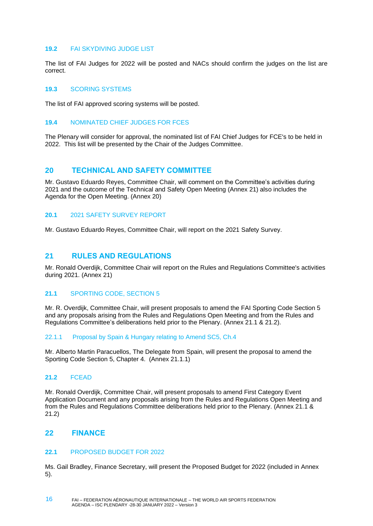#### <span id="page-15-0"></span>**19.2** FAI SKYDIVING JUDGE LIST

The list of FAI Judges for 2022 will be posted and NACs should confirm the judges on the list are correct.

#### <span id="page-15-1"></span>**19.3** SCORING SYSTEMS

<span id="page-15-2"></span>The list of FAI approved scoring systems will be posted.

#### **19.4** NOMINATED CHIEF JUDGES FOR FCES

The Plenary will consider for approval, the nominated list of FAI Chief Judges for FCE's to be held in 2022. This list will be presented by the Chair of the Judges Committee.

#### <span id="page-15-3"></span>**20 TECHNICAL AND SAFETY COMMITTEE**

Mr. Gustavo Eduardo Reyes, Committee Chair, will comment on the Committee's activities during 2021 and the outcome of the Technical and Safety Open Meeting (Annex 21) also includes the Agenda for the Open Meeting. (Annex 20)

#### <span id="page-15-4"></span>**20.1** 2021 SAFETY SURVEY REPORT

Mr. Gustavo Eduardo Reyes, Committee Chair, will report on the 2021 Safety Survey.

#### <span id="page-15-5"></span>**21 RULES AND REGULATIONS**

Mr. Ronald Overdijk, Committee Chair will report on the Rules and Regulations Committee's activities during 2021. (Annex 21)

#### <span id="page-15-6"></span>**21.1** SPORTING CODE, SECTION 5

Mr. R. Overdijk, Committee Chair, will present proposals to amend the FAI Sporting Code Section 5 and any proposals arising from the Rules and Regulations Open Meeting and from the Rules and Regulations Committee's deliberations held prior to the Plenary. (Annex 21.1 & 21.2).

#### 22.1.1 Proposal by Spain & Hungary relating to Amend SC5, Ch.4

Mr. Alberto Martin Paracuellos, The Delegate from Spain, will present the proposal to amend the Sporting Code Section 5, Chapter 4. (Annex 21.1.1)

#### <span id="page-15-7"></span>**21.2** FCEAD

Mr. Ronald Overdijk, Committee Chair, will present proposals to amend First Category Event Application Document and any proposals arising from the Rules and Regulations Open Meeting and from the Rules and Regulations Committee deliberations held prior to the Plenary. (Annex 21.1 & 21.2)

#### <span id="page-15-8"></span>**22 FINANCE**

#### <span id="page-15-9"></span>**22.1** PROPOSED BUDGET FOR 2022

Ms. Gail Bradley, Finance Secretary, will present the Proposed Budget for 2022 (included in Annex 5).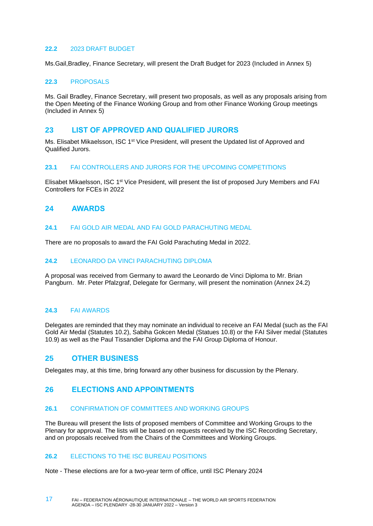#### <span id="page-16-0"></span>**22.2** 2023 DRAFT BUDGET

Ms.Gail,Bradley, Finance Secretary, will present the Draft Budget for 2023 (Included in Annex 5)

#### <span id="page-16-1"></span>**22.3** PROPOSALS

Ms. Gail Bradley, Finance Secretary, will present two proposals, as well as any proposals arising from the Open Meeting of the Finance Working Group and from other Finance Working Group meetings (Included in Annex 5)

#### <span id="page-16-2"></span>**23 LIST OF APPROVED AND QUALIFIED JURORS**

Ms. Elisabet Mikaelsson, ISC 1<sup>st</sup> Vice President, will present the Updated list of Approved and Qualified Jurors.

#### <span id="page-16-3"></span>**23.1** FAI CONTROLLERS AND JURORS FOR THE UPCOMING COMPETITIONS

Elisabet Mikaelsson, ISC 1st Vice President, will present the list of proposed Jury Members and FAI Controllers for FCEs in 2022

#### <span id="page-16-4"></span>**24 AWARDS**

#### <span id="page-16-5"></span>**24.1** FAI GOLD AIR MEDAL AND FAI GOLD PARACHUTING MEDAL

There are no proposals to award the FAI Gold Parachuting Medal in 2022.

#### <span id="page-16-6"></span>**24.2** LEONARDO DA VINCI PARACHUTING DIPLOMA

A proposal was received from Germany to award the Leonardo de Vinci Diploma to Mr. Brian Pangburn. Mr. Peter Pfalzgraf, Delegate for Germany, will present the nomination (Annex 24.2)

#### <span id="page-16-7"></span>**24.3** FAI AWARDS

Delegates are reminded that they may nominate an individual to receive an FAI Medal (such as the FAI Gold Air Medal (Statutes 10.2), Sabiha Gokcen Medal (Statues 10.8) or the FAI Silver medal (Statutes 10.9) as well as the Paul Tissandier Diploma and the FAI Group Diploma of Honour.

#### <span id="page-16-8"></span>**25 OTHER BUSINESS**

<span id="page-16-9"></span>Delegates may, at this time, bring forward any other business for discussion by the Plenary.

#### **26 ELECTIONS AND APPOINTMENTS**

#### <span id="page-16-10"></span>**26.1** CONFIRMATION OF COMMITTEES AND WORKING GROUPS

The Bureau will present the lists of proposed members of Committee and Working Groups to the Plenary for approval. The lists will be based on requests received by the ISC Recording Secretary, and on proposals received from the Chairs of the Committees and Working Groups.

#### <span id="page-16-11"></span>**26.2** ELECTIONS TO THE ISC BUREAU POSITIONS

Note - These elections are for a two-year term of office, until ISC Plenary 2024